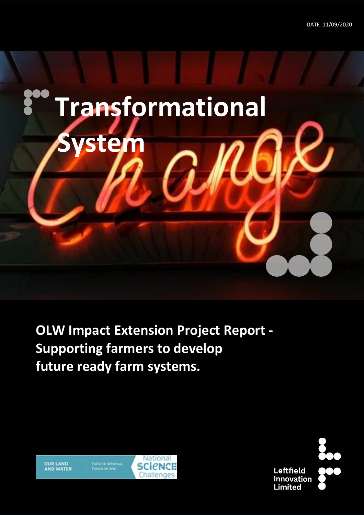

**OLW Impact Extension Project Report - Supporting farmers to develop future ready farm systems.**



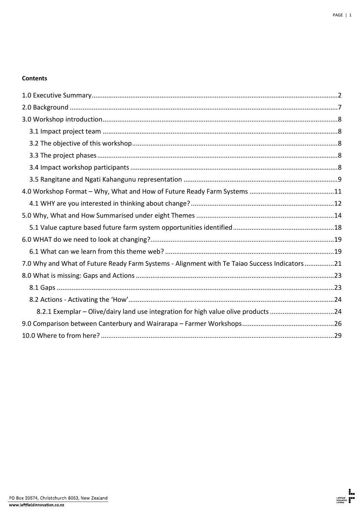## **Contents**

| 7.0 Why and What of Future Ready Farm Systems - Alignment with Te Taiao Success Indicators21 |  |
|----------------------------------------------------------------------------------------------|--|
|                                                                                              |  |
|                                                                                              |  |
|                                                                                              |  |
| 8.2.1 Exemplar - Olive/dairy land use integration for high value olive products 24           |  |
|                                                                                              |  |
|                                                                                              |  |
|                                                                                              |  |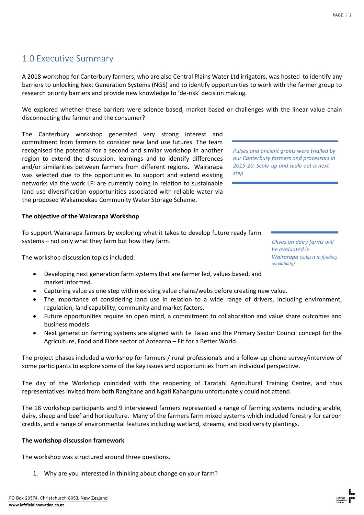# <span id="page-2-0"></span>1.0 Executive Summary

A 2018 workshop for Canterbury farmers, who are also Central Plains Water Ltd irrigators, was hosted to identify any barriers to unlocking Next Generation Systems (NGS) and to identify opportunities to work with the farmer group to research priority barriers and provide new knowledge to 'de-risk' decision making.

We explored whether these barriers were science based, market based or challenges with the linear value chain disconnecting the farmer and the consumer?

The Canterbury workshop generated very strong interest and commitment from farmers to consider new land use futures. The team recognised the potential for a second and similar workshop in another region to extend the discussion, learnings and to identify differences and/or similarities between farmers from different regions. Wairarapa was selected due to the opportunities to support and extend existing networks via the work LFI are currently doing in relation to sustainable land use diversification opportunities associated with reliable water via the proposed Wakamoekau Community Water Storage Scheme.

### **The objective of the Wairarapa Workshop**

To support Wairarapa farmers by exploring what it takes to develop future ready farm systems – not only what they farm but how they farm.

The workshop discussion topics included:

- Developing next generation farm systems that are farmer led, values based, and market informed.
- Capturing value as one step within existing value chains/webs before creating new value.
- The importance of considering land use in relation to a wide range of drivers, including environment, regulation, land capability, community and market factors.
- Future opportunities require an open mind, a commitment to collaboration and value share outcomes and business models
- Next generation farming systems are aligned with Te Taiao and the Primary Sector Council concept for the Agriculture, Food and Fibre sector of Aotearoa – Fit for a Better World.

The project phases included a workshop for farmers / rural professionals and a follow-up phone survey/interview of some participants to explore some of the key issues and opportunities from an individual perspective.

The day of the Workshop coincided with the reopening of Taratahi Agricultural Training Centre, and thus representatives invited from both Rangitane and Ngati Kahangunu unfortunately could not attend.

The 18 workshop participants and 9 interviewed farmers represented a range of farming systems including arable, dairy, sheep and beef and horticulture. Many of the farmers farm mixed systems which included forestry for carbon credits, and a range of environmental features including wetland, streams, and biodiversity plantings.

### **The workshop discussion framework**

The workshop was structured around three questions.

1. Why are you interested in thinking about change on your farm?

*Pulses and ancient grains were trialled by our Canterbury farmers and processors in 2019-20. Scale-up and scale out is next step*

> *Olives on dairy farms will be evaluated in Wairarapa (subject to funding availability).*

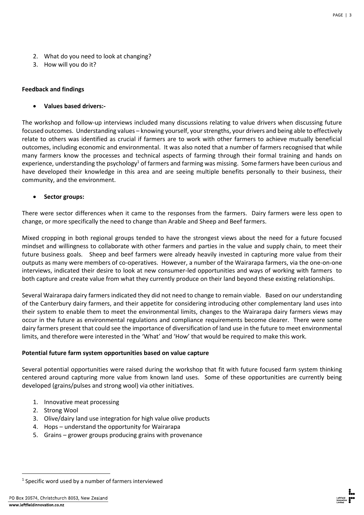- 2. What do you need to look at changing?
- 3. How will you do it?

### **Feedback and findings**

• **Values based drivers:-**

The workshop and follow-up interviews included many discussions relating to value drivers when discussing future focused outcomes. Understanding values – knowing yourself, your strengths, your drivers and being able to effectively relate to others was identified as crucial if farmers are to work with other farmers to achieve mutually beneficial outcomes, including economic and environmental. It was also noted that a number of farmers recognised that while many farmers know the processes and technical aspects of farming through their formal training and hands on experience, understanding the psychology<sup>1</sup> of farmers and farming was missing. Some farmers have been curious and have developed their knowledge in this area and are seeing multiple benefits personally to their business, their community, and the environment.

• **Sector groups:**

There were sector differences when it came to the responses from the farmers. Dairy farmers were less open to change, or more specifically the need to change than Arable and Sheep and Beef farmers.

Mixed cropping in both regional groups tended to have the strongest views about the need for a future focused mindset and willingness to collaborate with other farmers and parties in the value and supply chain, to meet their future business goals. Sheep and beef farmers were already heavily invested in capturing more value from their outputs as many were members of co-operatives. However, a number of the Wairarapa farmers, via the one-on-one interviews, indicated their desire to look at new consumer-led opportunities and ways of working with farmers to both capture and create value from what they currently produce on their land beyond these existing relationships.

Several Wairarapa dairy farmers indicated they did not need to change to remain viable. Based on our understanding of the Canterbury dairy farmers, and their appetite for considering introducing other complementary land uses into their system to enable them to meet the environmental limits, changes to the Wairarapa dairy farmers views may occur in the future as environmental regulations and compliance requirements become clearer. There were some dairy farmers present that could see the importance of diversification of land use in the future to meet environmental limits, and therefore were interested in the 'What' and 'How' that would be required to make this work.

#### **Potential future farm system opportunities based on value capture**

Several potential opportunities were raised during the workshop that fit with future focused farm system thinking centered around capturing more value from known land uses. Some of these opportunities are currently being developed (grains/pulses and strong wool) via other initiatives.

- 1. Innovative meat processing
- 2. Strong Wool
- 3. Olive/dairy land use integration for high value olive products
- 4. Hops understand the opportunity for Wairarapa
- 5. Grains grower groups producing grains with provenance



<sup>&</sup>lt;sup>1</sup> Specific word used by a number of farmers interviewed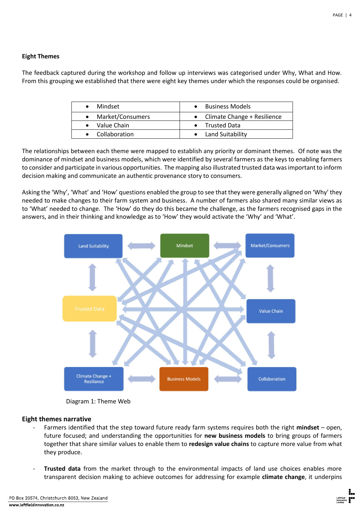#### **Eight Themes**

The feedback captured during the workshop and follow up interviews was categorised under Why, What and How. From this grouping we established that there were eight key themes under which the responses could be organised.

| • Mindset             | Business Models               |
|-----------------------|-------------------------------|
| • Market/Consumers    | • Climate Change + Resilience |
| $\bullet$ Value Chain | • Trusted Data                |
| • Collaboration       | Land Suitability              |

The relationships between each theme were mapped to establish any priority or dominant themes. Of note was the dominance of mindset and business models, which were identified by several farmers as the keys to enabling farmers to consider and participate in various opportunities. The mapping also illustrated trusted data was important to inform decision making and communicate an authentic provenance story to consumers.

Asking the 'Why', 'What' and 'How' questions enabled the group to see that they were generally aligned on 'Why' they needed to make changes to their farm system and business. A number of farmers also shared many similar views as to 'What' needed to change. The 'How' do they do this became the challenge, as the farmers recognised gaps in the answers, and in their thinking and knowledge as to 'How' they would activate the 'Why' and 'What'.



Diagram 1: Theme Web

#### **Eight themes narrative**

- Farmers identified that the step toward future ready farm systems requires both the right **mindset** open, future focused; and understanding the opportunities for **new business models** to bring groups of farmers together that share similar values to enable them to **redesign value chains** to capture more value from what they produce.
- Trusted data from the market through to the environmental impacts of land use choices enables more transparent decision making to achieve outcomes for addressing for example **climate change**, it underpins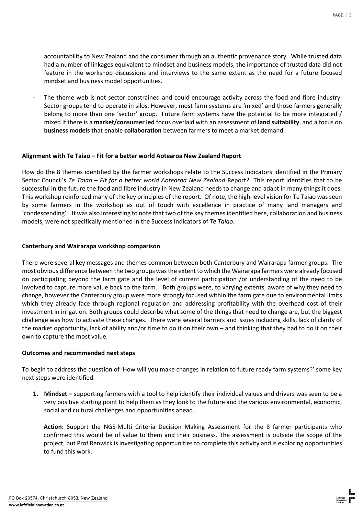accountability to New Zealand and the consumer through an authentic provenance story. While trusted data had a number of linkages equivalent to mindset and business models, the importance of trusted data did not feature in the workshop discussions and interviews to the same extent as the need for a future focused mindset and business model opportunities.

The theme web is not sector constrained and could encourage activity across the food and fibre industry. Sector groups tend to operate in silos. However, most farm systems are 'mixed' and those farmers generally belong to more than one 'sector' group. Future farm systems have the potential to be more integrated / mixed if there is a **market/consumer led** focus overlaid with an assessment of **land suitability**, and a focus on **business models** that enable **collaboration** between farmers to meet a market demand.

### **Alignment with Te Taiao – Fit for a better world Aotearoa New Zealand Report**

How do the 8 themes identified by the farmer workshops relate to the Success Indicators identified in the Primary Sector Council's *Te Taiao – Fit for a better world Aotearoa New Zealand* Report? This report identifies that to be successful in the future the food and fibre industry in New Zealand needs to change and adapt in many things it does. This workshop reinforced many of the key principles of the report. Of note, the high-level vision for Te Taiao was seen by some farmers in the workshop as out of touch with excellence in practice of many land managers and 'condescending'. It was also interesting to note that two of the key themes identified here, collaboration and business models, were not specifically mentioned in the Success Indicators of *Te Taiao*.

### **Canterbury and Wairarapa workshop comparison**

There were several key messages and themes common between both Canterbury and Wairarapa farmer groups. The most obvious difference between the two groups was the extent to which the Wairarapa farmers were already focused on participating beyond the farm gate and the level of current participation /or understanding of the need to be involved to capture more value back to the farm. Both groups were, to varying extents, aware of why they need to change, however the Canterbury group were more strongly focused within the farm gate due to environmental limits which they already face through regional regulation and addressing profitability with the overhead cost of their investment in irrigation. Both groups could describe what some of the things that need to change are, but the biggest challenge was how to activate these changes. There were several barriers and issues including skills, lack of clarity of the market opportunity, lack of ability and/or time to do it on their own – and thinking that they had to do it on their own to capture the most value.

### **Outcomes and recommended next steps**

To begin to address the question of 'How will you make changes in relation to future ready farm systems?' some key next steps were identified.

**1. Mindset –** supporting farmers with a tool to help identify their individual values and drivers was seen to be a very positive starting point to help them as they look to the future and the various environmental, economic, social and cultural challenges and opportunities ahead.

**Action:** Support the NGS-Multi Criteria Decision Making Assessment for the 8 farmer participants who confirmed this would be of value to them and their business. The assessment is outside the scope of the project, but Prof Renwick is investigating opportunities to complete this activity and is exploring opportunities to fund this work.

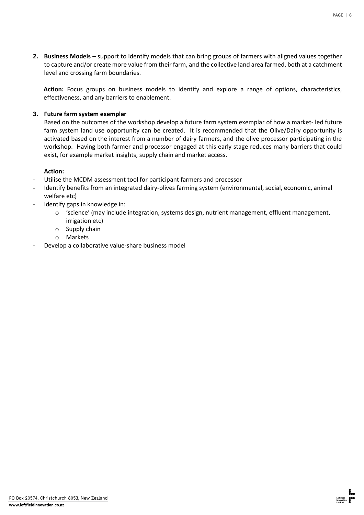**2. Business Models –** support to identify models that can bring groups of farmers with aligned values together to capture and/or create more value from their farm, and the collective land area farmed, both at a catchment level and crossing farm boundaries.

**Action:** Focus groups on business models to identify and explore a range of options, characteristics, effectiveness, and any barriers to enablement.

## **3. Future farm system exemplar**

Based on the outcomes of the workshop develop a future farm system exemplar of how a market- led future farm system land use opportunity can be created. It is recommended that the Olive/Dairy opportunity is activated based on the interest from a number of dairy farmers, and the olive processor participating in the workshop. Having both farmer and processor engaged at this early stage reduces many barriers that could exist, for example market insights, supply chain and market access.

## **Action:**

- Utilise the MCDM assessment tool for participant farmers and processor
- Identify benefits from an integrated dairy-olives farming system (environmental, social, economic, animal welfare etc)
- Identify gaps in knowledge in:
	- o 'science' (may include integration, systems design, nutrient management, effluent management, irrigation etc)
	- o Supply chain
	- o Markets
- Develop a collaborative value-share business model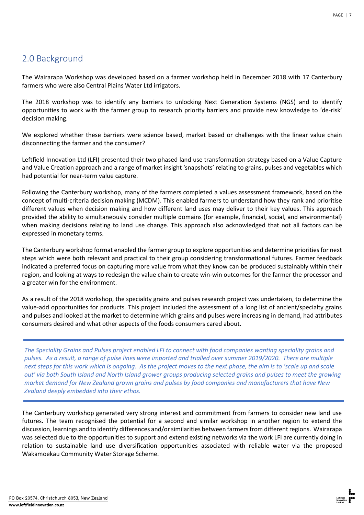# <span id="page-7-0"></span>2.0 Background

The Wairarapa Workshop was developed based on a farmer workshop held in December 2018 with 17 Canterbury farmers who were also Central Plains Water Ltd irrigators.

The 2018 workshop was to identify any barriers to unlocking Next Generation Systems (NGS) and to identify opportunities to work with the farmer group to research priority barriers and provide new knowledge to 'de-risk' decision making.

We explored whether these barriers were science based, market based or challenges with the linear value chain disconnecting the farmer and the consumer?

Leftfield Innovation Ltd (LFI) presented their two phased land use transformation strategy based on a Value Capture and Value Creation approach and a range of market insight 'snapshots' relating to grains, pulses and vegetables which had potential for near-term value capture.

Following the Canterbury workshop, many of the farmers completed a values assessment framework, based on the concept of multi-criteria decision making (MCDM). This enabled farmers to understand how they rank and prioritise different values when decision making and how different land uses may deliver to their key values. This approach provided the ability to simultaneously consider multiple domains (for example, financial, social, and environmental) when making decisions relating to land use change. This approach also acknowledged that not all factors can be expressed in monetary terms.

The Canterbury workshop format enabled the farmer group to explore opportunities and determine priorities for next steps which were both relevant and practical to their group considering transformational futures. Farmer feedback indicated a preferred focus on capturing more value from what they know can be produced sustainably within their region, and looking at ways to redesign the value chain to create win-win outcomes for the farmer the processor and a greater win for the environment.

As a result of the 2018 workshop, the speciality grains and pulses research project was undertaken, to determine the value-add opportunities for products. This project included the assessment of a long list of ancient/specialty grains and pulses and looked at the market to determine which grains and pulses were increasing in demand, had attributes consumers desired and what other aspects of the foods consumers cared about.

*The Speciality Grains and Pulses project enabled LFI to connect with food companies wanting speciality grains and pulses. As a result, a range of pulse lines were imported and trialled over summer 2019/2020. There are multiple next steps for this work which is ongoing. As the project moves to the next phase, the aim is to 'scale up and scale out' via both South Island and North Island grower groups producing selected grains and pulses to meet the growing market demand for New Zealand grown grains and pulses by food companies and manufacturers that have New Zealand deeply embedded into their ethos.*

The Canterbury workshop generated very strong interest and commitment from farmers to consider new land use futures. The team recognised the potential for a second and similar workshop in another region to extend the discussion, learnings and to identify differences and/or similarities between farmers from different regions. Wairarapa was selected due to the opportunities to support and extend existing networks via the work LFI are currently doing in relation to sustainable land use diversification opportunities associated with reliable water via the proposed Wakamoekau Community Water Storage Scheme.

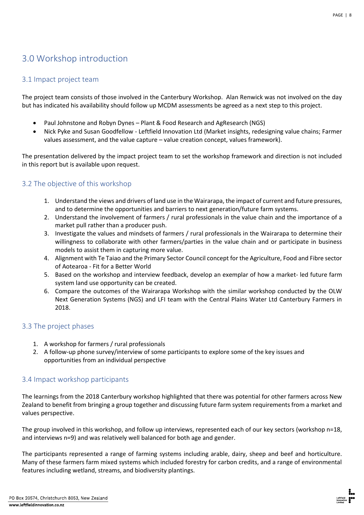# <span id="page-8-0"></span>3.0 Workshop introduction

## <span id="page-8-1"></span>3.1 Impact project team

The project team consists of those involved in the Canterbury Workshop. Alan Renwick was not involved on the day but has indicated his availability should follow up MCDM assessments be agreed as a next step to this project.

- Paul Johnstone and Robyn Dynes Plant & Food Research and AgResearch (NGS)
- Nick Pyke and Susan Goodfellow Leftfield Innovation Ltd (Market insights, redesigning value chains; Farmer values assessment, and the value capture – value creation concept, values framework).

The presentation delivered by the impact project team to set the workshop framework and direction is not included in this report but is available upon request.

## <span id="page-8-2"></span>3.2 The objective of this workshop

- 1. Understand the views and drivers of land use in the Wairarapa, the impact of current and future pressures, and to determine the opportunities and barriers to next generation/future farm systems.
- 2. Understand the involvement of farmers / rural professionals in the value chain and the importance of a market pull rather than a producer push.
- 3. Investigate the values and mindsets of farmers / rural professionals in the Wairarapa to determine their willingness to collaborate with other farmers/parties in the value chain and or participate in business models to assist them in capturing more value.
- 4. Alignment with Te Taiao and the Primary Sector Council concept for the Agriculture, Food and Fibre sector of Aotearoa - Fit for a Better World
- 5. Based on the workshop and interview feedback, develop an exemplar of how a market- led future farm system land use opportunity can be created.
- 6. Compare the outcomes of the Wairarapa Workshop with the similar workshop conducted by the OLW Next Generation Systems (NGS) and LFI team with the Central Plains Water Ltd Canterbury Farmers in 2018.

## <span id="page-8-3"></span>3.3 The project phases

- 1. A workshop for farmers / rural professionals
- 2. A follow-up phone survey/interview of some participants to explore some of the key issues and opportunities from an individual perspective

## <span id="page-8-4"></span>3.4 Impact workshop participants

The learnings from the 2018 Canterbury workshop highlighted that there was potential for other farmers across New Zealand to benefit from bringing a group together and discussing future farm system requirements from a market and values perspective.

The group involved in this workshop, and follow up interviews, represented each of our key sectors (workshop n=18, and interviews n=9) and was relatively well balanced for both age and gender.

The participants represented a range of farming systems including arable, dairy, sheep and beef and horticulture. Many of these farmers farm mixed systems which included forestry for carbon credits, and a range of environmental features including wetland, streams, and biodiversity plantings.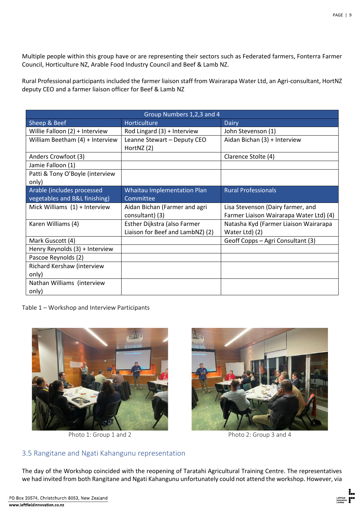Multiple people within this group have or are representing their sectors such as Federated farmers, Fonterra Farmer Council, Horticulture NZ, Arable Food Industry Council and Beef & Lamb NZ.

Rural Professional participants included the farmer liaison staff from Wairarapa Water Ltd, an Agri-consultant, HortNZ deputy CEO and a farmer liaison officer for Beef & Lamb NZ

| Group Numbers 1,2,3 and 4       |                                    |                                         |
|---------------------------------|------------------------------------|-----------------------------------------|
| Sheep & Beef                    | Horticulture                       | Dairy                                   |
| Willie Falloon (2) + Interview  | Rod Lingard (3) + Interview        | John Stevenson (1)                      |
| William Beetham (4) + Interview | Leanne Stewart - Deputy CEO        | Aidan Bichan (3) + Interview            |
|                                 | HortNZ (2)                         |                                         |
| Anders Crowfoot (3)             |                                    | Clarence Stolte (4)                     |
| Jamie Falloon (1)               |                                    |                                         |
| Patti & Tony O'Boyle (interview |                                    |                                         |
| only)                           |                                    |                                         |
| Arable (includes processed      | <b>Whaitau Implementation Plan</b> | <b>Rural Professionals</b>              |
| vegetables and B&L finishing)   | Committee                          |                                         |
| Mick Williams $(1)$ + Interview | Aidan Bichan (Farmer and agri      | Lisa Stevenson (Dairy farmer, and       |
|                                 | consultant) (3)                    | Farmer Liaison Wairarapa Water Ltd) (4) |
| Karen Williams (4)              | Esther Dijkstra (also Farmer       | Natasha Kyd (Farmer Liaison Wairarapa   |
|                                 | Liaison for Beef and LambNZ) (2)   | Water Ltd) (2)                          |
| Mark Guscott (4)                |                                    | Geoff Copps – Agri Consultant (3)       |
| Henry Reynolds (3) + Interview  |                                    |                                         |
| Pascoe Reynolds (2)             |                                    |                                         |
| Richard Kershaw (interview      |                                    |                                         |
| only)                           |                                    |                                         |
| Nathan Williams (interview      |                                    |                                         |
| only)                           |                                    |                                         |

Table 1 – Workshop and Interview Participants



Photo 1: Group 1 and 2 Photo 2: Group 3 and 4



# <span id="page-9-0"></span>3.5 Rangitane and Ngati Kahangunu representation

The day of the Workshop coincided with the reopening of Taratahi Agricultural Training Centre. The representatives we had invited from both Rangitane and Ngati Kahangunu unfortunately could not attend the workshop. However, via

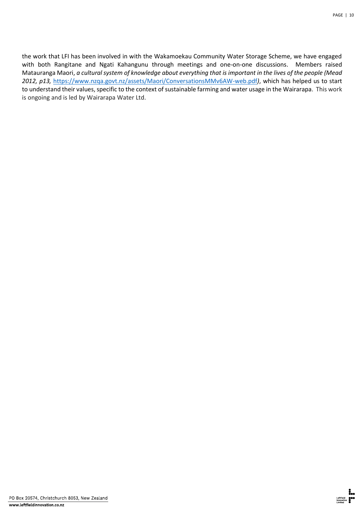the work that LFI has been involved in with the Wakamoekau Community Water Storage Scheme, we have engaged with both Rangitane and Ngati Kahangunu through meetings and one-on-one discussions. Members raised Matauranga Maori, *a cultural system of knowledge about everything that is important in the lives of the people (Mead 2012, p13,* <https://www.nzqa.govt.nz/assets/Maori/ConversationsMMv6AW-web.pdf>*)*, which has helped us to start to understand their values, specific to the context of sustainable farming and water usage in the Wairarapa. This work is ongoing and is led by Wairarapa Water Ltd.

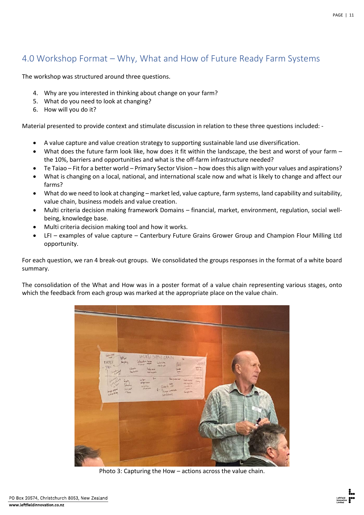# <span id="page-11-0"></span>4.0 Workshop Format – Why, What and How of Future Ready Farm Systems

The workshop was structured around three questions.

- 4. Why are you interested in thinking about change on your farm?
- 5. What do you need to look at changing?
- 6. How will you do it?

Material presented to provide context and stimulate discussion in relation to these three questions included: -

- A value capture and value creation strategy to supporting sustainable land use diversification.
- What does the future farm look like, how does it fit within the landscape, the best and worst of your farm the 10%, barriers and opportunities and what is the off-farm infrastructure needed?
- Te Taiao Fit for a better world Primary Sector Vision how does this align with your values and aspirations?
- What is changing on a local, national, and international scale now and what is likely to change and affect our farms?
- What do we need to look at changing market led, value capture, farm systems, land capability and suitability, value chain, business models and value creation.
- Multi criteria decision making framework Domains financial, market, environment, regulation, social wellbeing, knowledge base.
- Multi criteria decision making tool and how it works.
- LFI examples of value capture Canterbury Future Grains Grower Group and Champion Flour Milling Ltd opportunity.

For each question, we ran 4 break-out groups. We consolidated the groups responses in the format of a white board summary.

The consolidation of the What and How was in a poster format of a value chain representing various stages, onto which the feedback from each group was marked at the appropriate place on the value chain.



Photo 3: Capturing the How – actions across the value chain.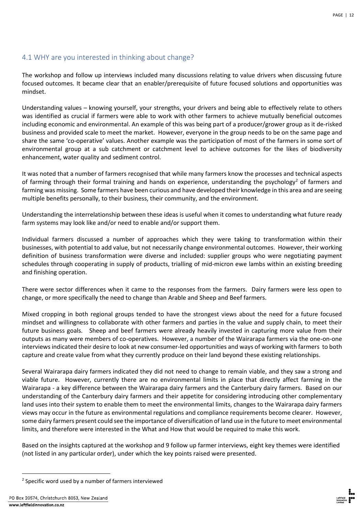## <span id="page-12-0"></span>4.1 WHY are you interested in thinking about change?

The workshop and follow up interviews included many discussions relating to value drivers when discussing future focused outcomes. It became clear that an enabler/prerequisite of future focused solutions and opportunities was mindset.

Understanding values – knowing yourself, your strengths, your drivers and being able to effectively relate to others was identified as crucial if farmers were able to work with other farmers to achieve mutually beneficial outcomes including economic and environmental. An example of this was being part of a producer/grower group as it de-risked business and provided scale to meet the market. However, everyone in the group needs to be on the same page and share the same 'co-operative' values. Another example was the participation of most of the farmers in some sort of environmental group at a sub catchment or catchment level to achieve outcomes for the likes of biodiversity enhancement, water quality and sediment control.

It was noted that a number of farmers recognised that while many farmers know the processes and technical aspects of farming through their formal training and hands on experience, understanding the psychology<sup>2</sup> of farmers and farming was missing. Some farmers have been curious and have developed their knowledge in this area and are seeing multiple benefits personally, to their business, their community, and the environment.

Understanding the interrelationship between these ideas is useful when it comes to understanding what future ready farm systems may look like and/or need to enable and/or support them.

Individual farmers discussed a number of approaches which they were taking to transformation within their businesses, with potential to add value, but not necessarily change environmental outcomes. However, their working definition of business transformation were diverse and included: supplier groups who were negotiating payment schedules through cooperating in supply of products, trialling of mid-micron ewe lambs within an existing breeding and finishing operation.

There were sector differences when it came to the responses from the farmers. Dairy farmers were less open to change, or more specifically the need to change than Arable and Sheep and Beef farmers.

Mixed cropping in both regional groups tended to have the strongest views about the need for a future focused mindset and willingness to collaborate with other farmers and parties in the value and supply chain, to meet their future business goals. Sheep and beef farmers were already heavily invested in capturing more value from their outputs as many were members of co-operatives. However, a number of the Wairarapa farmers via the one-on-one interviews indicated their desire to look at new consumer-led opportunities and ways of working with farmers to both capture and create value from what they currently produce on their land beyond these existing relationships.

Several Wairarapa dairy farmers indicated they did not need to change to remain viable, and they saw a strong and viable future. However, currently there are no environmental limits in place that directly affect farming in the Wairarapa - a key difference between the Wairarapa dairy farmers and the Canterbury dairy farmers. Based on our understanding of the Canterbury dairy farmers and their appetite for considering introducing other complementary land uses into their system to enable them to meet the environmental limits, changes to the Wairarapa dairy farmers views may occur in the future as environmental regulations and compliance requirements become clearer. However, some dairy farmers present could see the importance of diversification of land use in the future to meet environmental limits, and therefore were interested in the What and How that would be required to make this work.

Based on the insights captured at the workshop and 9 follow up farmer interviews, eight key themes were identified (not listed in any particular order), under which the key points raised were presented.



<sup>&</sup>lt;sup>2</sup> Specific word used by a number of farmers interviewed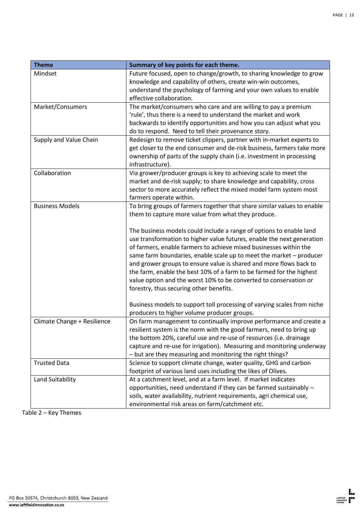| <b>Theme</b>                | Summary of key points for each theme.                                                                                                     |
|-----------------------------|-------------------------------------------------------------------------------------------------------------------------------------------|
| Mindset                     | Future focused, open to change/growth, to sharing knowledge to grow                                                                       |
|                             | knowledge and capability of others, create win-win outcomes,                                                                              |
|                             | understand the psychology of farming and your own values to enable                                                                        |
| Market/Consumers            | effective collaboration.                                                                                                                  |
|                             | The market/consumers who care and are willing to pay a premium<br>'rule', thus there is a need to understand the market and work          |
|                             | backwards to identify opportunities and how you can adjust what you                                                                       |
|                             | do to respond. Need to tell their provenance story.                                                                                       |
| Supply and Value Chain      | Redesign to remove ticket clippers, partner with in-market experts to                                                                     |
|                             | get closer to the end consumer and de-risk business, farmers take more                                                                    |
|                             | ownership of parts of the supply chain (i.e. investment in processing                                                                     |
|                             | infrastructure).                                                                                                                          |
| Collaboration               | Via grower/producer groups is key to achieving scale to meet the                                                                          |
|                             | market and de-risk supply; to share knowledge and capability, cross                                                                       |
|                             | sector to more accurately reflect the mixed model farm system most                                                                        |
|                             | farmers operate within.                                                                                                                   |
| <b>Business Models</b>      | To bring groups of farmers together that share similar values to enable                                                                   |
|                             | them to capture more value from what they produce.                                                                                        |
|                             |                                                                                                                                           |
|                             | The business models could include a range of options to enable land                                                                       |
|                             | use transformation to higher value futures, enable the next generation                                                                    |
|                             | of farmers, enable farmers to achieve mixed businesses within the                                                                         |
|                             | same farm boundaries, enable scale up to meet the market - producer<br>and grower groups to ensure value is shared and more flows back to |
|                             | the farm, enable the best 10% of a farm to be farmed for the highest                                                                      |
|                             | value option and the worst 10% to be converted to conservation or                                                                         |
|                             | forestry, thus securing other benefits.                                                                                                   |
|                             |                                                                                                                                           |
|                             | Business models to support toll processing of varying scales from niche                                                                   |
|                             | producers to higher volume producer groups.                                                                                               |
| Climate Change + Resilience | On farm management to continually improve performance and create a                                                                        |
|                             | resilient system is the norm with the good farmers, need to bring up                                                                      |
|                             | the bottom 20%, careful use and re-use of resources (i.e. drainage                                                                        |
|                             | capture and re-use for irrigation). Measuring and monitoring underway                                                                     |
|                             | - but are they measuring and monitoring the right things?                                                                                 |
| <b>Trusted Data</b>         | Science to support climate change, water quality, GHG and carbon                                                                          |
|                             | footprint of various land uses including the likes of Olives.                                                                             |
| Land Suitability            | At a catchment level, and at a farm level. If market indicates                                                                            |
|                             | opportunities, need understand if they can be farmed sustainably -                                                                        |
|                             | soils, water availability, nutrient requirements, agri chemical use,                                                                      |
|                             | environmental risk areas on farm/catchment etc.                                                                                           |

Table 2 – Key Themes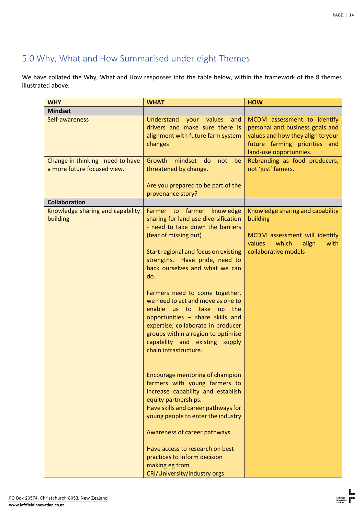# <span id="page-14-0"></span>5.0 Why, What and How Summarised under eight Themes

We have collated the Why, What and How responses into the table below, within the framework of the 8 themes illustrated above.

| <b>WHY</b>                                                       | <b>WHAT</b>                                                                                                                                                                                                                                                                                                                                                                                                                                                                                                                                                                                                                                                                                                                                                                                                        | <b>HOW</b>                                                                                                                                                      |
|------------------------------------------------------------------|--------------------------------------------------------------------------------------------------------------------------------------------------------------------------------------------------------------------------------------------------------------------------------------------------------------------------------------------------------------------------------------------------------------------------------------------------------------------------------------------------------------------------------------------------------------------------------------------------------------------------------------------------------------------------------------------------------------------------------------------------------------------------------------------------------------------|-----------------------------------------------------------------------------------------------------------------------------------------------------------------|
| <b>Mindset</b>                                                   |                                                                                                                                                                                                                                                                                                                                                                                                                                                                                                                                                                                                                                                                                                                                                                                                                    |                                                                                                                                                                 |
| Self-awareness                                                   | Understand<br>your<br>values<br>and<br>drivers and make sure there is<br>alignment with future farm system<br>changes                                                                                                                                                                                                                                                                                                                                                                                                                                                                                                                                                                                                                                                                                              | MCDM assessment to identify<br>personal and business goals and<br>values and how they align to your<br>future farming priorities and<br>land-use opportunities. |
| Change in thinking - need to have<br>a more future focused view. | Growth<br>mindset do<br>not<br>be<br>threatened by change.<br>Are you prepared to be part of the                                                                                                                                                                                                                                                                                                                                                                                                                                                                                                                                                                                                                                                                                                                   | Rebranding as food producers,<br>not 'just' famers.                                                                                                             |
|                                                                  | provenance story?                                                                                                                                                                                                                                                                                                                                                                                                                                                                                                                                                                                                                                                                                                                                                                                                  |                                                                                                                                                                 |
| <b>Collaboration</b>                                             |                                                                                                                                                                                                                                                                                                                                                                                                                                                                                                                                                                                                                                                                                                                                                                                                                    |                                                                                                                                                                 |
| Knowledge sharing and capability<br>building                     | Farmer to farmer knowledge<br>sharing for land use diversification<br>- need to take down the barriers<br>(fear of missing out)<br>Start regional and focus on existing<br>strengths. Have pride, need to<br>back ourselves and what we can<br>do.<br>Farmers need to come together,<br>we need to act and move as one to<br>enable us to take up the<br>opportunities - share skills and<br>expertise, collaborate in producer<br>groups within a region to optimise<br>capability and existing supply<br>chain infrastructure.<br>Encourage mentoring of champion<br>farmers with young farmers to<br>increase capability and establish<br>equity partnerships.<br>Have skills and career pathways for<br>young people to enter the industry<br>Awareness of career pathways.<br>Have access to research on best | Knowledge sharing and capability<br>building<br>MCDM assessment will identify<br>which<br>values<br>align<br>with<br>collaborative models                       |
|                                                                  | practices to inform decision<br>making eg from<br>CRI/University/industry orgs                                                                                                                                                                                                                                                                                                                                                                                                                                                                                                                                                                                                                                                                                                                                     |                                                                                                                                                                 |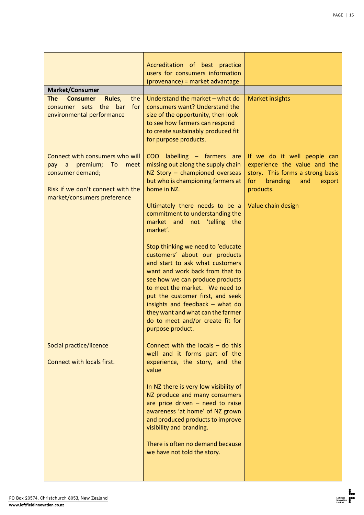| <b>Market/Consumer</b>                                                                                                                                     | Accreditation of best practice<br>users for consumers information<br>(provenance) = market advantage                                                                                                                                                                                                                                                                                                  |                                                                                                                                                                        |
|------------------------------------------------------------------------------------------------------------------------------------------------------------|-------------------------------------------------------------------------------------------------------------------------------------------------------------------------------------------------------------------------------------------------------------------------------------------------------------------------------------------------------------------------------------------------------|------------------------------------------------------------------------------------------------------------------------------------------------------------------------|
| <b>The</b><br><b>Consumer</b><br>Rules,<br>the<br>consumer sets the bar<br>for<br>environmental performance                                                | Understand the market - what do<br>consumers want? Understand the<br>size of the opportunity, then look<br>to see how farmers can respond<br>to create sustainably produced fit<br>for purpose products.                                                                                                                                                                                              | <b>Market insights</b>                                                                                                                                                 |
| Connect with consumers who will<br>premium;<br>To<br>pay a<br>meet<br>consumer demand;<br>Risk if we don't connect with the<br>market/consumers preference | COO labelling - farmers are<br>missing out along the supply chain<br>NZ Story - championed overseas<br>but who is championing farmers at<br>home in NZ.<br>Ultimately there needs to be a<br>commitment to understanding the<br>market and not 'telling the<br>market'.                                                                                                                               | If we do it well people can<br>experience the value and the<br>story. This forms a strong basis<br>for<br>branding<br>and<br>export<br>products.<br>Value chain design |
|                                                                                                                                                            | Stop thinking we need to 'educate<br>customers' about our products<br>and start to ask what customers<br>want and work back from that to<br>see how we can produce products<br>to meet the market. We need to<br>put the customer first, and seek<br>insights and feedback - what do<br>they want and what can the farmer<br>do to meet and/or create fit for<br>purpose product.                     |                                                                                                                                                                        |
| Social practice/licence<br>Connect with locals first.                                                                                                      | Connect with the locals $-$ do this<br>well and it forms part of the<br>experience, the story, and the<br>value<br>In NZ there is very low visibility of<br>NZ produce and many consumers<br>are price driven $-$ need to raise<br>awareness 'at home' of NZ grown<br>and produced products to improve<br>visibility and branding.<br>There is often no demand because<br>we have not told the story. |                                                                                                                                                                        |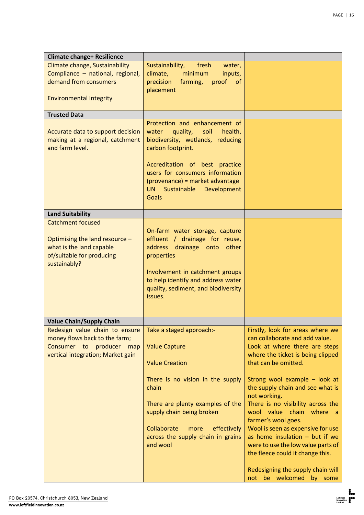| <b>Climate change+ Resilience</b>                                                                                                   |                                                                                                                                                                                                                                                                                                |                                                                                                                                                                                                                                                                                                                                                                                                                                                                                                                                       |
|-------------------------------------------------------------------------------------------------------------------------------------|------------------------------------------------------------------------------------------------------------------------------------------------------------------------------------------------------------------------------------------------------------------------------------------------|---------------------------------------------------------------------------------------------------------------------------------------------------------------------------------------------------------------------------------------------------------------------------------------------------------------------------------------------------------------------------------------------------------------------------------------------------------------------------------------------------------------------------------------|
| Climate change, Sustainability<br>Compliance - national, regional,<br>demand from consumers<br><b>Environmental Integrity</b>       | Sustainability,<br>fresh<br>water,<br>climate,<br>minimum<br>inputs,<br>precision<br>farming,<br>proof<br><b>of</b><br>placement                                                                                                                                                               |                                                                                                                                                                                                                                                                                                                                                                                                                                                                                                                                       |
| <b>Trusted Data</b>                                                                                                                 |                                                                                                                                                                                                                                                                                                |                                                                                                                                                                                                                                                                                                                                                                                                                                                                                                                                       |
| Accurate data to support decision<br>making at a regional, catchment<br>and farm level.                                             | Protection and enhancement of<br>quality,<br>soil<br>health,<br>water<br>biodiversity, wetlands, reducing<br>carbon footprint.<br>Accreditation of best practice<br>users for consumers information<br>(provenance) = market advantage<br><b>UN</b><br>Sustainable Development<br><b>Goals</b> |                                                                                                                                                                                                                                                                                                                                                                                                                                                                                                                                       |
| <b>Land Suitability</b>                                                                                                             |                                                                                                                                                                                                                                                                                                |                                                                                                                                                                                                                                                                                                                                                                                                                                                                                                                                       |
| <b>Catchment focused</b><br>Optimising the land resource -<br>what is the land capable<br>of/suitable for producing<br>sustainably? | On-farm water storage, capture<br>effluent / drainage for reuse,<br>address drainage onto<br>other<br>properties<br>Involvement in catchment groups<br>to help identify and address water<br>quality, sediment, and biodiversity<br>issues.                                                    |                                                                                                                                                                                                                                                                                                                                                                                                                                                                                                                                       |
| <b>Value Chain/Supply Chain</b>                                                                                                     |                                                                                                                                                                                                                                                                                                |                                                                                                                                                                                                                                                                                                                                                                                                                                                                                                                                       |
| Redesign value chain to ensure<br>money flows back to the farm;<br>Consumer to producer map<br>vertical integration; Market gain    | Take a staged approach:-<br><b>Value Capture</b><br><b>Value Creation</b><br>There is no vision in the supply<br>chain<br>There are plenty examples of the<br>supply chain being broken<br>Collaborate<br>effectively<br>more<br>across the supply chain in grains<br>and wool                 | Firstly, look for areas where we<br>can collaborate and add value.<br>Look at where there are steps<br>where the ticket is being clipped<br>that can be omitted.<br>Strong wool example - look at<br>the supply chain and see what is<br>not working.<br>There is no visibility across the<br>wool value chain where a<br>farmer's wool goes.<br>Wool is seen as expensive for use<br>as home insulation $-$ but if we<br>were to use the low value parts of<br>the fleece could it change this.<br>Redesigning the supply chain will |
|                                                                                                                                     |                                                                                                                                                                                                                                                                                                | not be welcomed by some                                                                                                                                                                                                                                                                                                                                                                                                                                                                                                               |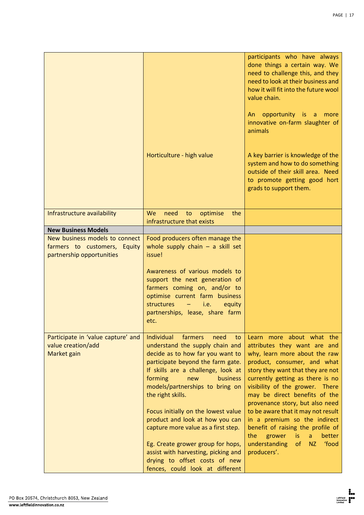|                                    | Horticulture - high value                                                                                                                                                                                                                | participants who have always<br>done things a certain way. We<br>need to challenge this, and they<br>need to look at their business and<br>how it will fit into the future wool<br>value chain.<br>opportunity is<br>more<br>An<br>$\overline{a}$<br>innovative on-farm slaughter of<br>animals<br>A key barrier is knowledge of the<br>system and how to do something<br>outside of their skill area. Need<br>to promote getting good hort<br>grads to support them. |
|------------------------------------|------------------------------------------------------------------------------------------------------------------------------------------------------------------------------------------------------------------------------------------|-----------------------------------------------------------------------------------------------------------------------------------------------------------------------------------------------------------------------------------------------------------------------------------------------------------------------------------------------------------------------------------------------------------------------------------------------------------------------|
|                                    |                                                                                                                                                                                                                                          |                                                                                                                                                                                                                                                                                                                                                                                                                                                                       |
| Infrastructure availability        | We<br>to optimise<br>the<br>need<br>infrastructure that exists                                                                                                                                                                           |                                                                                                                                                                                                                                                                                                                                                                                                                                                                       |
| <b>New Business Models</b>         |                                                                                                                                                                                                                                          |                                                                                                                                                                                                                                                                                                                                                                                                                                                                       |
| New business models to connect     | Food producers often manage the                                                                                                                                                                                                          |                                                                                                                                                                                                                                                                                                                                                                                                                                                                       |
| farmers to customers, Equity       | whole supply chain $-$ a skill set                                                                                                                                                                                                       |                                                                                                                                                                                                                                                                                                                                                                                                                                                                       |
| partnership opportunities          | issue!                                                                                                                                                                                                                                   |                                                                                                                                                                                                                                                                                                                                                                                                                                                                       |
|                                    | Awareness of various models to<br>support the next generation of<br>farmers coming on, and/or to<br>optimise current farm business<br>structures<br>i.e.<br>equity<br>partnerships, lease, share farm<br>etc.                            |                                                                                                                                                                                                                                                                                                                                                                                                                                                                       |
| Participate in 'value capture' and | Individual<br>farmers<br>need<br>to                                                                                                                                                                                                      | Learn more about what the                                                                                                                                                                                                                                                                                                                                                                                                                                             |
| value creation/add                 | understand the supply chain and                                                                                                                                                                                                          | attributes they want are and                                                                                                                                                                                                                                                                                                                                                                                                                                          |
| Market gain                        | decide as to how far you want to<br>participate beyond the farm gate.<br>If skills are a challenge, look at<br>forming<br>business<br>new<br>models/partnerships to bring on<br>the right skills.<br>Focus initially on the lowest value | why, learn more about the raw<br>product, consumer, and what<br>story they want that they are not<br>currently getting as there is no<br>visibility of the grower. There<br>may be direct benefits of the<br>provenance story, but also need<br>to be aware that it may not result                                                                                                                                                                                    |
|                                    | product and look at how you can<br>capture more value as a first step.                                                                                                                                                                   | in a premium so the indirect<br>benefit of raising the profile of                                                                                                                                                                                                                                                                                                                                                                                                     |
|                                    | Eg. Create grower group for hops,<br>assist with harvesting, picking and<br>drying to offset costs of new<br>fences, could look at different                                                                                             | the<br>better<br>grower<br><i>is</i><br>a<br>understanding<br>of<br>food<br><b>NZ</b><br>producers'.                                                                                                                                                                                                                                                                                                                                                                  |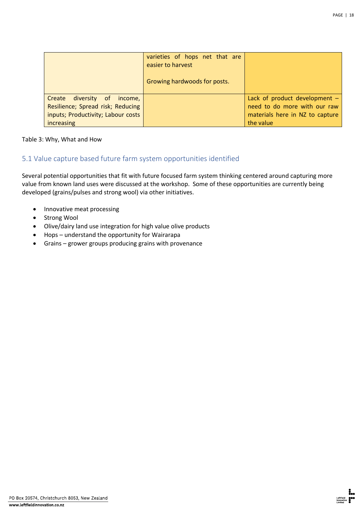|                                                                                                                      | varieties of hops net that are<br>easier to harvest<br>Growing hardwoods for posts. |                                                                                                                 |
|----------------------------------------------------------------------------------------------------------------------|-------------------------------------------------------------------------------------|-----------------------------------------------------------------------------------------------------------------|
| Create diversity of income,<br>Resilience; Spread risk; Reducing<br>inputs; Productivity; Labour costs<br>increasing |                                                                                     | Lack of product development $-$<br>need to do more with our raw<br>materials here in NZ to capture<br>the value |

### Table 3: Why, What and How

## <span id="page-18-0"></span>5.1 Value capture based future farm system opportunities identified

Several potential opportunities that fit with future focused farm system thinking centered around capturing more value from known land uses were discussed at the workshop. Some of these opportunities are currently being developed (grains/pulses and strong wool) via other initiatives.

- Innovative meat processing
- Strong Wool
- Olive/dairy land use integration for high value olive products
- Hops understand the opportunity for Wairarapa
- Grains grower groups producing grains with provenance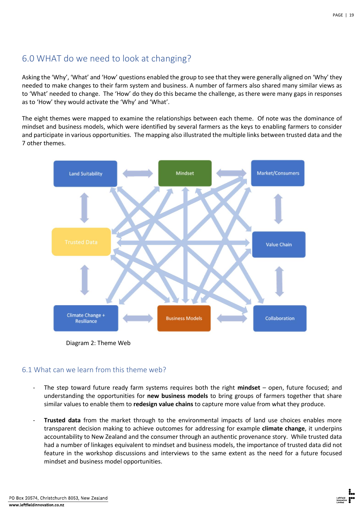# <span id="page-19-0"></span>6.0 WHAT do we need to look at changing?

Asking the 'Why', 'What' and 'How' questions enabled the group to see that they were generally aligned on 'Why' they needed to make changes to their farm system and business. A number of farmers also shared many similar views as to 'What' needed to change. The 'How' do they do this became the challenge, as there were many gaps in responses as to 'How' they would activate the 'Why' and 'What'.

The eight themes were mapped to examine the relationships between each theme. Of note was the dominance of mindset and business models, which were identified by several farmers as the keys to enabling farmers to consider and participate in various opportunities. The mapping also illustrated the multiple links between trusted data and the 7 other themes.



Diagram 2: Theme Web

## <span id="page-19-1"></span>6.1 What can we learn from this theme web?

- The step toward future ready farm systems requires both the right **mindset** open, future focused; and understanding the opportunities for **new business models** to bring groups of farmers together that share similar values to enable them to **redesign value chains** to capture more value from what they produce.
- **Trusted data** from the market through to the environmental impacts of land use choices enables more transparent decision making to achieve outcomes for addressing for example **climate change**, it underpins accountability to New Zealand and the consumer through an authentic provenance story. While trusted data had a number of linkages equivalent to mindset and business models, the importance of trusted data did not feature in the workshop discussions and interviews to the same extent as the need for a future focused mindset and business model opportunities.

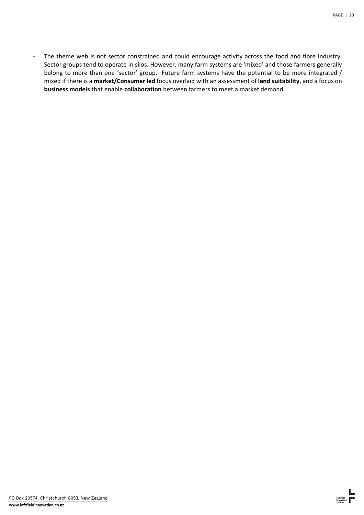- The theme web is not sector constrained and could encourage activity across the food and fibre industry. Sector groups tend to operate in silos. However, many farm systems are 'mixed' and those farmers generally belong to more than one 'sector' group. Future farm systems have the potential to be more integrated / mixed if there is a **market/Consumer led** focus overlaid with an assessment of **land suitability**, and a focus on **business models** that enable **collaboration** between farmers to meet a market demand.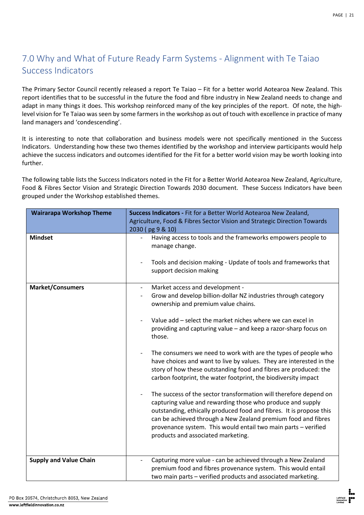# <span id="page-21-0"></span>7.0 Why and What of Future Ready Farm Systems - Alignment with Te Taiao Success Indicators

The Primary Sector Council recently released a report Te Taiao – Fit for a better world Aotearoa New Zealand. This report identifies that to be successful in the future the food and fibre industry in New Zealand needs to change and adapt in many things it does. This workshop reinforced many of the key principles of the report. Of note, the highlevel vision for Te Taiao was seen by some farmers in the workshop as out of touch with excellence in practice of many land managers and 'condescending'.

It is interesting to note that collaboration and business models were not specifically mentioned in the Success Indicators. Understanding how these two themes identified by the workshop and interview participants would help achieve the success indicators and outcomes identified for the Fit for a better world vision may be worth looking into further.

The following table lists the Success Indicators noted in the Fit for a Better World Aotearoa New Zealand, Agriculture, Food & Fibres Sector Vision and Strategic Direction Towards 2030 document. These Success Indicators have been grouped under the Workshop established themes.

| <b>Wairarapa Workshop Theme</b> | Success Indicators - Fit for a Better World Aotearoa New Zealand,<br>Agriculture, Food & Fibres Sector Vision and Strategic Direction Towards                                                                                                                                                                                                                                   |  |
|---------------------------------|---------------------------------------------------------------------------------------------------------------------------------------------------------------------------------------------------------------------------------------------------------------------------------------------------------------------------------------------------------------------------------|--|
|                                 | 2030 (pg 9 & 10)                                                                                                                                                                                                                                                                                                                                                                |  |
| <b>Mindset</b>                  | Having access to tools and the frameworks empowers people to<br>$\overline{\phantom{a}}$<br>manage change.<br>Tools and decision making - Update of tools and frameworks that<br>$\overline{\phantom{a}}$                                                                                                                                                                       |  |
|                                 | support decision making                                                                                                                                                                                                                                                                                                                                                         |  |
| <b>Market/Consumers</b>         | Market access and development -<br>Grow and develop billion-dollar NZ industries through category<br>ownership and premium value chains.                                                                                                                                                                                                                                        |  |
|                                 | Value add - select the market niches where we can excel in<br>providing and capturing value - and keep a razor-sharp focus on<br>those.                                                                                                                                                                                                                                         |  |
|                                 | The consumers we need to work with are the types of people who<br>have choices and want to live by values. They are interested in the<br>story of how these outstanding food and fibres are produced: the<br>carbon footprint, the water footprint, the biodiversity impact                                                                                                     |  |
|                                 | The success of the sector transformation will therefore depend on<br>capturing value and rewarding those who produce and supply<br>outstanding, ethically produced food and fibres. It is propose this<br>can be achieved through a New Zealand premium food and fibres<br>provenance system. This would entail two main parts - verified<br>products and associated marketing. |  |
| <b>Supply and Value Chain</b>   | Capturing more value - can be achieved through a New Zealand<br>premium food and fibres provenance system. This would entail<br>two main parts - verified products and associated marketing.                                                                                                                                                                                    |  |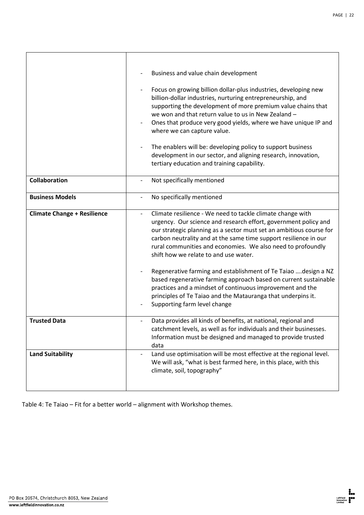|                                    | Business and value chain development<br>Focus on growing billion dollar-plus industries, developing new<br>$\overline{\phantom{a}}$<br>billion-dollar industries, nurturing entrepreneurship, and<br>supporting the development of more premium value chains that<br>we won and that return value to us in New Zealand -<br>Ones that produce very good yields, where we have unique IP and<br>where we can capture value.<br>The enablers will be: developing policy to support business<br>development in our sector, and aligning research, innovation,<br>tertiary education and training capability. |
|------------------------------------|-----------------------------------------------------------------------------------------------------------------------------------------------------------------------------------------------------------------------------------------------------------------------------------------------------------------------------------------------------------------------------------------------------------------------------------------------------------------------------------------------------------------------------------------------------------------------------------------------------------|
| Collaboration                      | Not specifically mentioned                                                                                                                                                                                                                                                                                                                                                                                                                                                                                                                                                                                |
| <b>Business Models</b>             | No specifically mentioned<br>$\overline{\phantom{a}}$                                                                                                                                                                                                                                                                                                                                                                                                                                                                                                                                                     |
| <b>Climate Change + Resilience</b> | Climate resilience - We need to tackle climate change with<br>$\overline{\phantom{a}}$<br>urgency. Our science and research effort, government policy and<br>our strategic planning as a sector must set an ambitious course for<br>carbon neutrality and at the same time support resilience in our<br>rural communities and economies. We also need to profoundly<br>shift how we relate to and use water.<br>Regenerative farming and establishment of Te Taiao  design a NZ                                                                                                                           |
|                                    | based regenerative farming approach based on current sustainable<br>practices and a mindset of continuous improvement and the<br>principles of Te Taiao and the Matauranga that underpins it.<br>Supporting farm level change                                                                                                                                                                                                                                                                                                                                                                             |
| <b>Trusted Data</b>                | Data provides all kinds of benefits, at national, regional and<br>catchment levels, as well as for individuals and their businesses.<br>Information must be designed and managed to provide trusted<br>data                                                                                                                                                                                                                                                                                                                                                                                               |
| <b>Land Suitability</b>            | Land use optimisation will be most effective at the regional level.<br>We will ask, "what is best farmed here, in this place, with this<br>climate, soil, topography"                                                                                                                                                                                                                                                                                                                                                                                                                                     |

Table 4: Te Taiao – Fit for a better world – alignment with Workshop themes.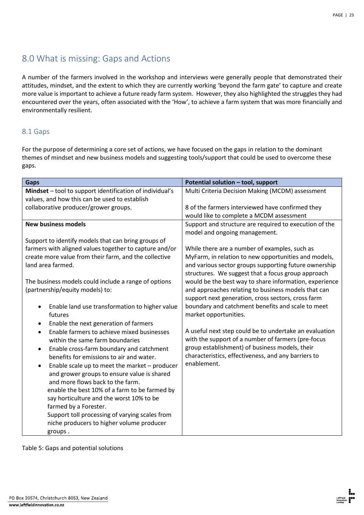# <span id="page-23-0"></span>8.0 What is missing: Gaps and Actions

A number of the farmers involved in the workshop and interviews were generally people that demonstrated their attitudes, mindset, and the extent to which they are currently working 'beyond the farm gate' to capture and create more value is important to achieve a future ready farm system. However, they also highlighted the struggles they had encountered over the years, often associated with the 'How', to achieve a farm system that was more financially and environmentally resilient.

## <span id="page-23-1"></span>8.1 Gaps

For the purpose of determining a core set of actions, we have focused on the gaps in relation to the dominant themes of mindset and new business models and suggesting tools/support that could be used to overcome these gaps.

| <b>Gaps</b>                                                 | Potential solution - tool, support                     |
|-------------------------------------------------------------|--------------------------------------------------------|
| Mindset - tool to support identification of individual's    | Multi Criteria Decision Making (MCDM) assessment       |
| values, and how this can be used to establish               |                                                        |
| collaborative producer/grower groups.                       | 8 of the farmers interviewed have confirmed they       |
|                                                             | would like to complete a MCDM assessment               |
| <b>New business models</b>                                  | Support and structure are required to execution of the |
|                                                             | model and ongoing management.                          |
| Support to identify models that can bring groups of         |                                                        |
| farmers with aligned values together to capture and/or      | While there are a number of examples, such as          |
| create more value from their farm, and the collective       | MyFarm, in relation to new opportunities and models,   |
| land area farmed.                                           | and various sector groups supporting future ownership  |
|                                                             | structures. We suggest that a focus group approach     |
| The business models could include a range of options        | would be the best way to share information, experience |
| (partnership/equity models) to:                             | and approaches relating to business models that can    |
|                                                             | support next generation, cross sectors, cross farm     |
| Enable land use transformation to higher value<br>$\bullet$ | boundary and catchment benefits and scale to meet      |
| futures                                                     | market opportunities.                                  |
| Enable the next generation of farmers                       |                                                        |
| Enable farmers to achieve mixed businesses<br>$\bullet$     | A useful next step could be to undertake an evaluation |
| within the same farm boundaries                             | with the support of a number of farmers (pre-focus     |
| Enable cross-farm boundary and catchment<br>$\bullet$       | group establishment) of business models, their         |
| benefits for emissions to air and water.                    | characteristics, effectiveness, and any barriers to    |
| Enable scale up to meet the market - producer<br>$\bullet$  | enablement.                                            |
| and grower groups to ensure value is shared                 |                                                        |
| and more flows back to the farm.                            |                                                        |
| enable the best 10% of a farm to be farmed by               |                                                        |
| say horticulture and the worst 10% to be                    |                                                        |
| farmed by a Forester.                                       |                                                        |
| Support toll processing of varying scales from              |                                                        |
| niche producers to higher volume producer                   |                                                        |
| groups.                                                     |                                                        |

Table 5: Gaps and potential solutions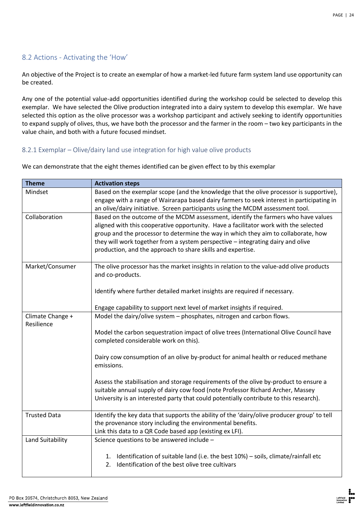## <span id="page-24-0"></span>8.2 Actions - Activating the 'How'

An objective of the Project is to create an exemplar of how a market-led future farm system land use opportunity can be created.

Any one of the potential value-add opportunities identified during the workshop could be selected to develop this exemplar. We have selected the Olive production integrated into a dairy system to develop this exemplar. We have selected this option as the olive processor was a workshop participant and actively seeking to identify opportunities to expand supply of olives, thus, we have both the processor and the farmer in the room – two key participants in the value chain, and both with a future focused mindset.

### <span id="page-24-1"></span>8.2.1 Exemplar – Olive/dairy land use integration for high value olive products

| <b>Theme</b>        | <b>Activation steps</b>                                                                     |
|---------------------|---------------------------------------------------------------------------------------------|
| Mindset             | Based on the exemplar scope (and the knowledge that the olive processor is supportive),     |
|                     | engage with a range of Wairarapa based dairy farmers to seek interest in participating in   |
|                     | an olive/dairy initiative. Screen participants using the MCDM assessment tool.              |
| Collaboration       | Based on the outcome of the MCDM assessment, identify the farmers who have values           |
|                     | aligned with this cooperative opportunity. Have a facilitator work with the selected        |
|                     | group and the processor to determine the way in which they aim to collaborate, how          |
|                     | they will work together from a system perspective - integrating dairy and olive             |
|                     | production, and the approach to share skills and expertise.                                 |
|                     |                                                                                             |
| Market/Consumer     | The olive processor has the market insights in relation to the value-add olive products     |
|                     | and co-products.                                                                            |
|                     |                                                                                             |
|                     | Identify where further detailed market insights are required if necessary.                  |
|                     |                                                                                             |
|                     | Engage capability to support next level of market insights if required.                     |
| Climate Change +    | Model the dairy/olive system - phosphates, nitrogen and carbon flows.                       |
| Resilience          |                                                                                             |
|                     | Model the carbon sequestration impact of olive trees (International Olive Council have      |
|                     | completed considerable work on this).                                                       |
|                     | Dairy cow consumption of an olive by-product for animal health or reduced methane           |
|                     | emissions.                                                                                  |
|                     |                                                                                             |
|                     | Assess the stabilisation and storage requirements of the olive by-product to ensure a       |
|                     | suitable annual supply of dairy cow food (note Professor Richard Archer, Massey             |
|                     | University is an interested party that could potentially contribute to this research).      |
|                     |                                                                                             |
| <b>Trusted Data</b> | Identify the key data that supports the ability of the 'dairy/olive producer group' to tell |
|                     | the provenance story including the environmental benefits.                                  |
|                     | Link this data to a QR Code based app (existing ex LFI).                                    |
| Land Suitability    | Science questions to be answered include -                                                  |
|                     |                                                                                             |
|                     | 1. Identification of suitable land (i.e. the best 10%) - soils, climate/rainfall etc        |
|                     | Identification of the best olive tree cultivars<br>2.                                       |
|                     |                                                                                             |

We can demonstrate that the eight themes identified can be given effect to by this exemplar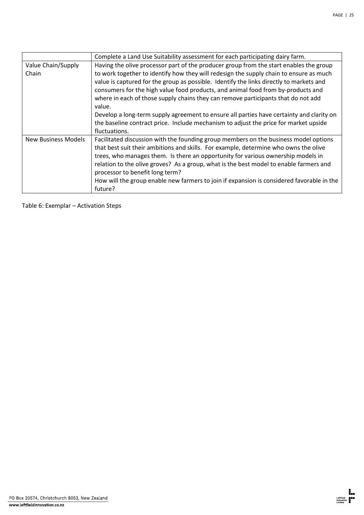|                             | Complete a Land Use Suitability assessment for each participating dairy farm.                                                                                                                                                                                                                                                                                                                                                                                                                                                                                                                                                                                       |
|-----------------------------|---------------------------------------------------------------------------------------------------------------------------------------------------------------------------------------------------------------------------------------------------------------------------------------------------------------------------------------------------------------------------------------------------------------------------------------------------------------------------------------------------------------------------------------------------------------------------------------------------------------------------------------------------------------------|
| Value Chain/Supply<br>Chain | Having the olive processor part of the producer group from the start enables the group<br>to work together to identify how they will redesign the supply chain to ensure as much<br>value is captured for the group as possible. Identify the links directly to markets and<br>consumers for the high value food products, and animal food from by-products and<br>where in each of those supply chains they can remove participants that do not add<br>value.<br>Develop a long-term supply agreement to ensure all parties have certainty and clarity on<br>the baseline contract price. Include mechanism to adjust the price for market upside<br>fluctuations. |
| <b>New Business Models</b>  | Facilitated discussion with the founding group members on the business model options<br>that best suit their ambitions and skills. For example, determine who owns the olive<br>trees, who manages them. Is there an opportunity for various ownership models in<br>relation to the olive groves? As a group, what is the best model to enable farmers and<br>processor to benefit long term?<br>How will the group enable new farmers to join if expansion is considered favorable in the<br>future?                                                                                                                                                               |

Table 6: Exemplar – Activation Steps

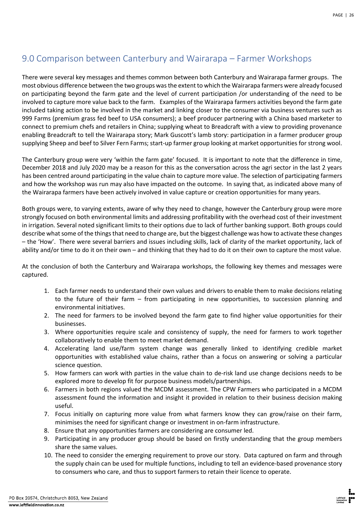# <span id="page-26-0"></span>9.0 Comparison between Canterbury and Wairarapa – Farmer Workshops

There were several key messages and themes common between both Canterbury and Wairarapa farmer groups. The most obvious difference between the two groups was the extent to which the Wairarapa farmers were already focused on participating beyond the farm gate and the level of current participation /or understanding of the need to be involved to capture more value back to the farm. Examples of the Wairarapa farmers activities beyond the farm gate included taking action to be involved in the market and linking closer to the consumer via business ventures such as 999 Farms (premium grass fed beef to USA consumers); a beef producer partnering with a China based marketer to connect to premium chefs and retailers in China; supplying wheat to Breadcraft with a view to providing provenance enabling Breadcraft to tell the Wairarapa story; Mark Guscott's lamb story: participation in a farmer producer group supplying Sheep and beef to Silver Fern Farms; start-up farmer group looking at market opportunities for strong wool.

The Canterbury group were very 'within the farm gate' focused. It is important to note that the difference in time, December 2018 and July 2020 may be a reason for this as the conversation across the agri sector in the last 2 years has been centred around participating in the value chain to capture more value. The selection of participating farmers and how the workshop was run may also have impacted on the outcome. In saying that, as indicated above many of the Wairarapa farmers have been actively involved in value capture or creation opportunities for many years.

Both groups were, to varying extents, aware of why they need to change, however the Canterbury group were more strongly focused on both environmental limits and addressing profitability with the overhead cost of their investment in irrigation. Several noted significant limits to their options due to lack of further banking support. Both groups could describe what some of the things that need to change are, but the biggest challenge was how to activate these changes – the 'How'. There were several barriers and issues including skills, lack of clarity of the market opportunity, lack of ability and/or time to do it on their own – and thinking that they had to do it on their own to capture the most value.

At the conclusion of both the Canterbury and Wairarapa workshops, the following key themes and messages were captured.

- 1. Each farmer needs to understand their own values and drivers to enable them to make decisions relating to the future of their farm – from participating in new opportunities, to succession planning and environmental initiatives.
- 2. The need for farmers to be involved beyond the farm gate to find higher value opportunities for their businesses.
- 3. Where opportunities require scale and consistency of supply, the need for farmers to work together collaboratively to enable them to meet market demand.
- 4. Accelerating land use/farm system change was generally linked to identifying credible market opportunities with established value chains, rather than a focus on answering or solving a particular science question.
- 5. How farmers can work with parties in the value chain to de-risk land use change decisions needs to be explored more to develop fit for purpose business models/partnerships.
- 6. Farmers in both regions valued the MCDM assessment. The CPW Farmers who participated in a MCDM assessment found the information and insight it provided in relation to their business decision making useful.
- 7. Focus initially on capturing more value from what farmers know they can grow/raise on their farm, minimises the need for significant change or investment in on-farm infrastructure.
- 8. Ensure that any opportunities farmers are considering are consumer led.
- 9. Participating in any producer group should be based on firstly understanding that the group members share the same values.
- 10. The need to consider the emerging requirement to prove our story. Data captured on farm and through the supply chain can be used for multiple functions, including to tell an evidence-based provenance story to consumers who care, and thus to support farmers to retain their licence to operate.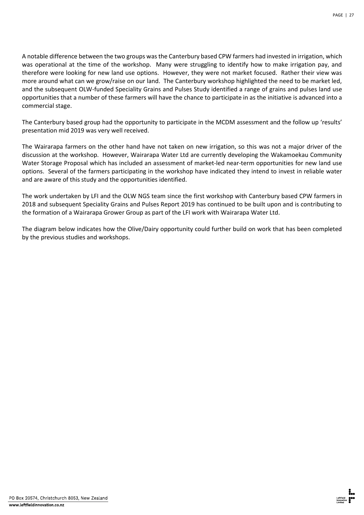A notable difference between the two groups was the Canterbury based CPW farmers had invested in irrigation, which was operational at the time of the workshop. Many were struggling to identify how to make irrigation pay, and therefore were looking for new land use options. However, they were not market focused. Rather their view was more around what can we grow/raise on our land. The Canterbury workshop highlighted the need to be market led, and the subsequent OLW-funded Speciality Grains and Pulses Study identified a range of grains and pulses land use opportunities that a number of these farmers will have the chance to participate in as the initiative is advanced into a commercial stage.

The Canterbury based group had the opportunity to participate in the MCDM assessment and the follow up 'results' presentation mid 2019 was very well received.

The Wairarapa farmers on the other hand have not taken on new irrigation, so this was not a major driver of the discussion at the workshop. However, Wairarapa Water Ltd are currently developing the Wakamoekau Community Water Storage Proposal which has included an assessment of market-led near-term opportunities for new land use options. Several of the farmers participating in the workshop have indicated they intend to invest in reliable water and are aware of this study and the opportunities identified.

The work undertaken by LFI and the OLW NGS team since the first workshop with Canterbury based CPW farmers in 2018 and subsequent Speciality Grains and Pulses Report 2019 has continued to be built upon and is contributing to the formation of a Wairarapa Grower Group as part of the LFI work with Wairarapa Water Ltd.

The diagram below indicates how the Olive/Dairy opportunity could further build on work that has been completed by the previous studies and workshops.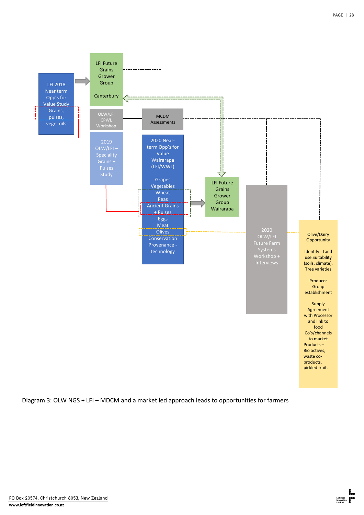

Diagram 3: OLW NGS + LFI – MDCM and a market led approach leads to opportunities for farmers